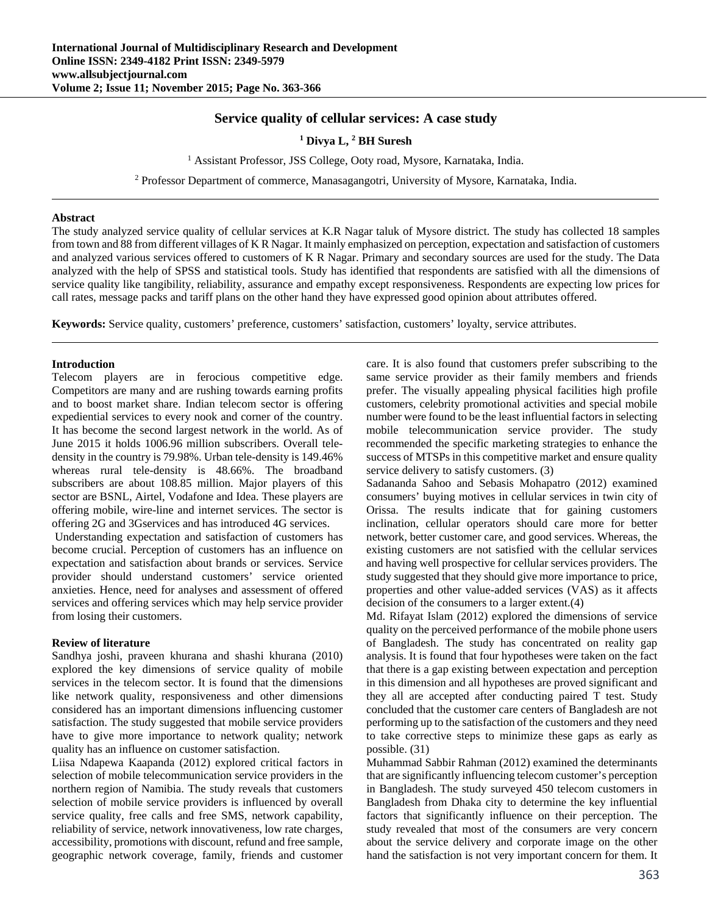# **Service quality of cellular services: A case study**

### <sup>1</sup> Divya L, <sup>2</sup> BH Suresh

<sup>1</sup> Assistant Professor, JSS College, Ooty road, Mysore, Karnataka, India.

<sup>2</sup> Professor Department of commerce, Manasagangotri, University of Mysore, Karnataka, India.

### **Abstract**

The study analyzed service quality of cellular services at K.R Nagar taluk of Mysore district. The study has collected 18 samples from town and 88 from different villages of K R Nagar. It mainly emphasized on perception, expectation and satisfaction of customers and analyzed various services offered to customers of K R Nagar. Primary and secondary sources are used for the study. The Data analyzed with the help of SPSS and statistical tools. Study has identified that respondents are satisfied with all the dimensions of service quality like tangibility, reliability, assurance and empathy except responsiveness. Respondents are expecting low prices for call rates, message packs and tariff plans on the other hand they have expressed good opinion about attributes offered.

**Keywords:** Service quality, customers' preference, customers' satisfaction, customers' loyalty, service attributes.

#### **Introduction**

Telecom players are in ferocious competitive edge. Competitors are many and are rushing towards earning profits and to boost market share. Indian telecom sector is offering expediential services to every nook and corner of the country. It has become the second largest network in the world. As of June 2015 it holds 1006.96 million subscribers. Overall teledensity in the country is 79.98%. Urban tele-density is 149.46% whereas rural tele-density is 48.66%. The broadband subscribers are about 108.85 million. Major players of this sector are BSNL, Airtel, Vodafone and Idea. These players are offering mobile, wire-line and internet services. The sector is offering 2G and 3Gservices and has introduced 4G services.

 Understanding expectation and satisfaction of customers has become crucial. Perception of customers has an influence on expectation and satisfaction about brands or services. Service provider should understand customers' service oriented anxieties. Hence, need for analyses and assessment of offered services and offering services which may help service provider from losing their customers.

#### **Review of literature**

Sandhya joshi, praveen khurana and shashi khurana (2010) explored the key dimensions of service quality of mobile services in the telecom sector. It is found that the dimensions like network quality, responsiveness and other dimensions considered has an important dimensions influencing customer satisfaction. The study suggested that mobile service providers have to give more importance to network quality; network quality has an influence on customer satisfaction.

Liisa Ndapewa Kaapanda (2012) explored critical factors in selection of mobile telecommunication service providers in the northern region of Namibia. The study reveals that customers selection of mobile service providers is influenced by overall service quality, free calls and free SMS, network capability, reliability of service, network innovativeness, low rate charges, accessibility, promotions with discount, refund and free sample, geographic network coverage, family, friends and customer

care. It is also found that customers prefer subscribing to the same service provider as their family members and friends prefer. The visually appealing physical facilities high profile customers, celebrity promotional activities and special mobile number were found to be the least influential factors in selecting mobile telecommunication service provider. The study recommended the specific marketing strategies to enhance the success of MTSPs in this competitive market and ensure quality service delivery to satisfy customers. (3)

Sadananda Sahoo and Sebasis Mohapatro (2012) examined consumers' buying motives in cellular services in twin city of Orissa. The results indicate that for gaining customers inclination, cellular operators should care more for better network, better customer care, and good services. Whereas, the existing customers are not satisfied with the cellular services and having well prospective for cellular services providers. The study suggested that they should give more importance to price, properties and other value-added services (VAS) as it affects decision of the consumers to a larger extent.(4)

Md. Rifayat Islam (2012) explored the dimensions of service quality on the perceived performance of the mobile phone users of Bangladesh. The study has concentrated on reality gap analysis. It is found that four hypotheses were taken on the fact that there is a gap existing between expectation and perception in this dimension and all hypotheses are proved significant and they all are accepted after conducting paired T test. Study concluded that the customer care centers of Bangladesh are not performing up to the satisfaction of the customers and they need to take corrective steps to minimize these gaps as early as possible. (31)

Muhammad Sabbir Rahman (2012) examined the determinants that are significantly influencing telecom customer's perception in Bangladesh. The study surveyed 450 telecom customers in Bangladesh from Dhaka city to determine the key influential factors that significantly influence on their perception. The study revealed that most of the consumers are very concern about the service delivery and corporate image on the other hand the satisfaction is not very important concern for them. It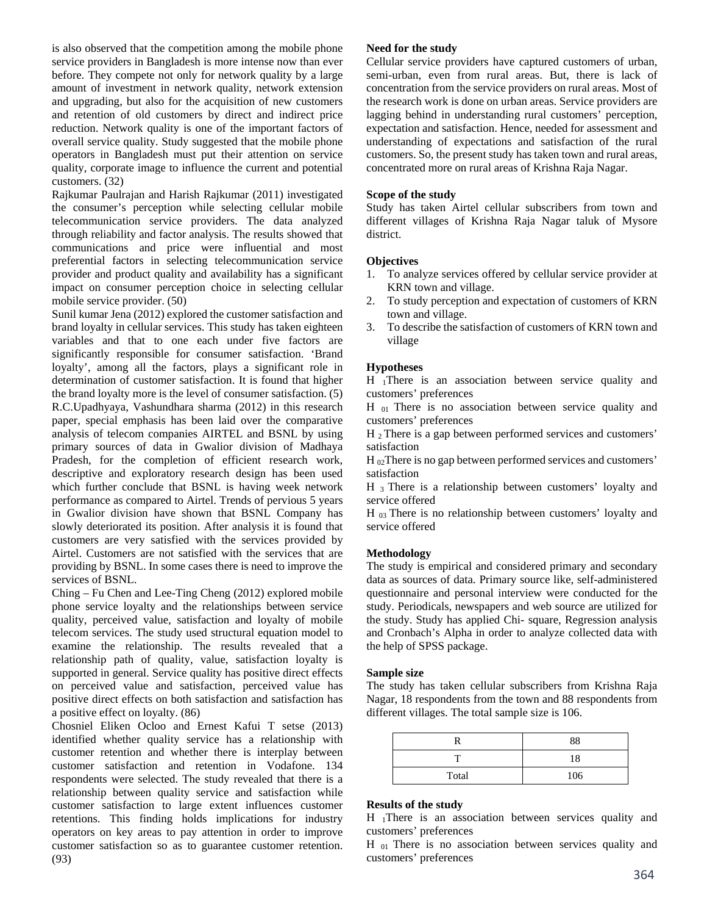is also observed that the competition among the mobile phone service providers in Bangladesh is more intense now than ever before. They compete not only for network quality by a large amount of investment in network quality, network extension and upgrading, but also for the acquisition of new customers and retention of old customers by direct and indirect price reduction. Network quality is one of the important factors of overall service quality. Study suggested that the mobile phone operators in Bangladesh must put their attention on service quality, corporate image to influence the current and potential customers. (32)

Rajkumar Paulrajan and Harish Rajkumar (2011) investigated the consumer's perception while selecting cellular mobile telecommunication service providers. The data analyzed through reliability and factor analysis. The results showed that communications and price were influential and most preferential factors in selecting telecommunication service provider and product quality and availability has a significant impact on consumer perception choice in selecting cellular mobile service provider. (50)

Sunil kumar Jena (2012) explored the customer satisfaction and brand loyalty in cellular services. This study has taken eighteen variables and that to one each under five factors are significantly responsible for consumer satisfaction. 'Brand loyalty', among all the factors, plays a significant role in determination of customer satisfaction. It is found that higher the brand loyalty more is the level of consumer satisfaction. (5) R.C.Upadhyaya, Vashundhara sharma (2012) in this research paper, special emphasis has been laid over the comparative analysis of telecom companies AIRTEL and BSNL by using primary sources of data in Gwalior division of Madhaya Pradesh, for the completion of efficient research work, descriptive and exploratory research design has been used which further conclude that BSNL is having week network performance as compared to Airtel. Trends of pervious 5 years in Gwalior division have shown that BSNL Company has slowly deteriorated its position. After analysis it is found that customers are very satisfied with the services provided by Airtel. Customers are not satisfied with the services that are providing by BSNL. In some cases there is need to improve the services of BSNL.

Ching – Fu Chen and Lee-Ting Cheng (2012) explored mobile phone service loyalty and the relationships between service quality, perceived value, satisfaction and loyalty of mobile telecom services. The study used structural equation model to examine the relationship. The results revealed that a relationship path of quality, value, satisfaction loyalty is supported in general. Service quality has positive direct effects on perceived value and satisfaction, perceived value has positive direct effects on both satisfaction and satisfaction has a positive effect on loyalty. (86)

Chosniel Eliken Ocloo and Ernest Kafui T setse (2013) identified whether quality service has a relationship with customer retention and whether there is interplay between customer satisfaction and retention in Vodafone. 134 respondents were selected. The study revealed that there is a relationship between quality service and satisfaction while customer satisfaction to large extent influences customer retentions. This finding holds implications for industry operators on key areas to pay attention in order to improve customer satisfaction so as to guarantee customer retention. (93)

# **Need for the study**

Cellular service providers have captured customers of urban, semi-urban, even from rural areas. But, there is lack of concentration from the service providers on rural areas. Most of the research work is done on urban areas. Service providers are lagging behind in understanding rural customers' perception, expectation and satisfaction. Hence, needed for assessment and understanding of expectations and satisfaction of the rural customers. So, the present study has taken town and rural areas, concentrated more on rural areas of Krishna Raja Nagar.

# **Scope of the study**

Study has taken Airtel cellular subscribers from town and different villages of Krishna Raja Nagar taluk of Mysore district.

# **Objectives**

- 1. To analyze services offered by cellular service provider at KRN town and village.
- 2. To study perception and expectation of customers of KRN town and village.
- 3. To describe the satisfaction of customers of KRN town and village

# **Hypotheses**

H 1There is an association between service quality and customers' preferences

H <sub>01</sub> There is no association between service quality and customers' preferences

H 2 There is a gap between performed services and customers' satisfaction

 $H_{02}$ There is no gap between performed services and customers' satisfaction

H 3 There is a relationship between customers' loyalty and service offered

H 03 There is no relationship between customers' loyalty and service offered

# **Methodology**

The study is empirical and considered primary and secondary data as sources of data. Primary source like, self-administered questionnaire and personal interview were conducted for the study. Periodicals, newspapers and web source are utilized for the study. Study has applied Chi- square, Regression analysis and Cronbach's Alpha in order to analyze collected data with the help of SPSS package.

# **Sample size**

The study has taken cellular subscribers from Krishna Raja Nagar, 18 respondents from the town and 88 respondents from different villages. The total sample size is 106.

|       | 88  |
|-------|-----|
|       | 18  |
| Total | 106 |

# **Results of the study**

H 1There is an association between services quality and customers' preferences

H 01 There is no association between services quality and customers' preferences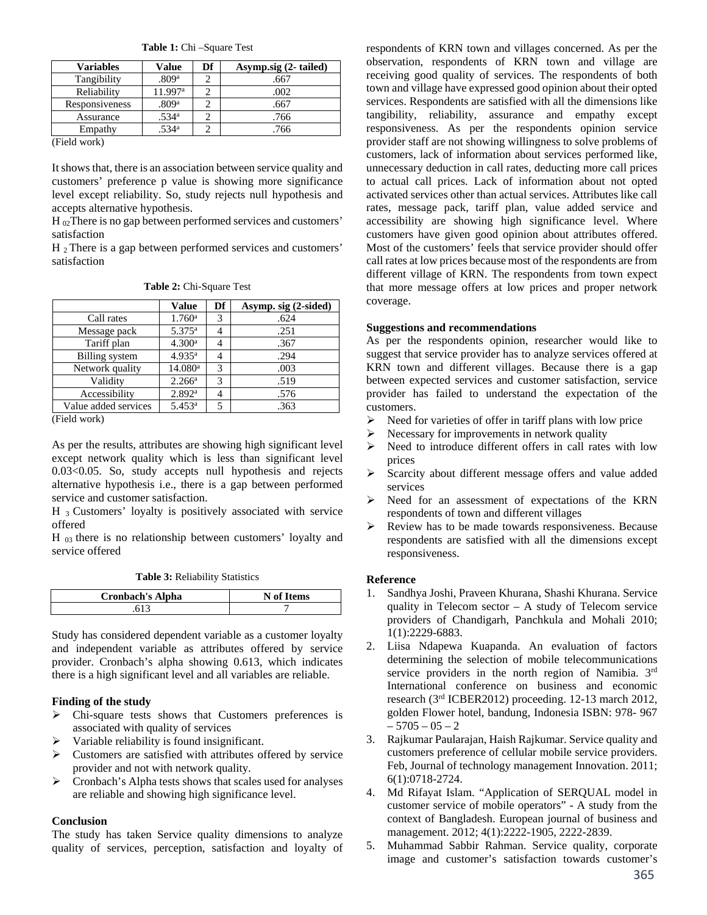**Table 1:** Chi –Square Test

| <b>Variables</b> | Value             | Df | Asymp.sig (2-tailed) |
|------------------|-------------------|----|----------------------|
| Tangibility      | .809ª             |    | .667                 |
| Reliability      | 11.997ª           |    | .002                 |
| Responsiveness   | .809ª             |    | .667                 |
| Assurance        | .534 <sup>a</sup> |    | .766                 |
| Empathy          | 534 <sup>a</sup>  |    | .766                 |

(Field work)

It shows that, there is an association between service quality and customers' preference p value is showing more significance level except reliability. So, study rejects null hypothesis and accepts alternative hypothesis.

H 02 There is no gap between performed services and customers' satisfaction

H<sub>2</sub> There is a gap between performed services and customers' satisfaction

|  | <b>Table 2: Chi-Square Test</b> |  |
|--|---------------------------------|--|
|--|---------------------------------|--|

|                      |   | Asymp. sig (2-sided) |
|----------------------|---|----------------------|
| $1.760$ <sup>a</sup> | 3 | .624                 |
| $5.375^{\rm a}$      | 4 | .251                 |
| 4.300 <sup>a</sup>   | 4 | .367                 |
| 4.935 <sup>a</sup>   | 4 | .294                 |
| 14.080a              | 3 | .003                 |
| 2.266 <sup>a</sup>   | 3 | .519                 |
| 2.892 <sup>a</sup>   | 4 | .576                 |
| $5.453^{\rm a}$      | 5 | .363                 |
|                      |   |                      |

(Field work)

As per the results, attributes are showing high significant level except network quality which is less than significant level 0.03<0.05. So, study accepts null hypothesis and rejects alternative hypothesis i.e., there is a gap between performed service and customer satisfaction.

 $H_3$  Customers' loyalty is positively associated with service offered

H  $_{03}$  there is no relationship between customers' loyalty and service offered

**Table 3:** Reliability Statistics

| <b>Cronbach's Alpha</b> | N of Items |
|-------------------------|------------|
|                         |            |

Study has considered dependent variable as a customer loyalty and independent variable as attributes offered by service provider. Cronbach's alpha showing 0.613, which indicates there is a high significant level and all variables are reliable.

# **Finding of the study**

- $\triangleright$  Chi-square tests shows that Customers preferences is associated with quality of services
- $\triangleright$  Variable reliability is found insignificant.
- Customers are satisfied with attributes offered by service provider and not with network quality.
- Cronbach's Alpha tests shows that scales used for analyses are reliable and showing high significance level.

# **Conclusion**

The study has taken Service quality dimensions to analyze quality of services, perception, satisfaction and loyalty of

respondents of KRN town and villages concerned. As per the observation, respondents of KRN town and village are receiving good quality of services. The respondents of both town and village have expressed good opinion about their opted services. Respondents are satisfied with all the dimensions like tangibility, reliability, assurance and empathy except responsiveness. As per the respondents opinion service provider staff are not showing willingness to solve problems of customers, lack of information about services performed like, unnecessary deduction in call rates, deducting more call prices to actual call prices. Lack of information about not opted activated services other than actual services. Attributes like call rates, message pack, tariff plan, value added service and accessibility are showing high significance level. Where customers have given good opinion about attributes offered. Most of the customers' feels that service provider should offer call rates at low prices because most of the respondents are from different village of KRN. The respondents from town expect that more message offers at low prices and proper network coverage.

## **Suggestions and recommendations**

As per the respondents opinion, researcher would like to suggest that service provider has to analyze services offered at KRN town and different villages. Because there is a gap between expected services and customer satisfaction, service provider has failed to understand the expectation of the customers.

- $\triangleright$  Need for varieties of offer in tariff plans with low price
- $\triangleright$  Necessary for improvements in network quality
- $\triangleright$  Need to introduce different offers in call rates with low prices
- > Scarcity about different message offers and value added services
- $\triangleright$  Need for an assessment of expectations of the KRN respondents of town and different villages
- $\triangleright$  Review has to be made towards responsiveness. Because respondents are satisfied with all the dimensions except responsiveness.

#### **Reference**

- 1. Sandhya Joshi, Praveen Khurana, Shashi Khurana. Service quality in Telecom sector – A study of Telecom service providers of Chandigarh, Panchkula and Mohali 2010; 1(1):2229-6883.
- 2. Liisa Ndapewa Kuapanda. An evaluation of factors determining the selection of mobile telecommunications service providers in the north region of Namibia. 3rd International conference on business and economic research (3rd ICBER2012) proceeding. 12-13 march 2012, golden Flower hotel, bandung, Indonesia ISBN: 978- 967  $-5705 - 05 - 2$
- 3. Rajkumar Paularajan, Haish Rajkumar. Service quality and customers preference of cellular mobile service providers. Feb, Journal of technology management Innovation. 2011; 6(1):0718-2724.
- 4. Md Rifayat Islam. "Application of SERQUAL model in customer service of mobile operators" - A study from the context of Bangladesh. European journal of business and management. 2012; 4(1):2222-1905, 2222-2839.
- 5. Muhammad Sabbir Rahman. Service quality, corporate image and customer's satisfaction towards customer's